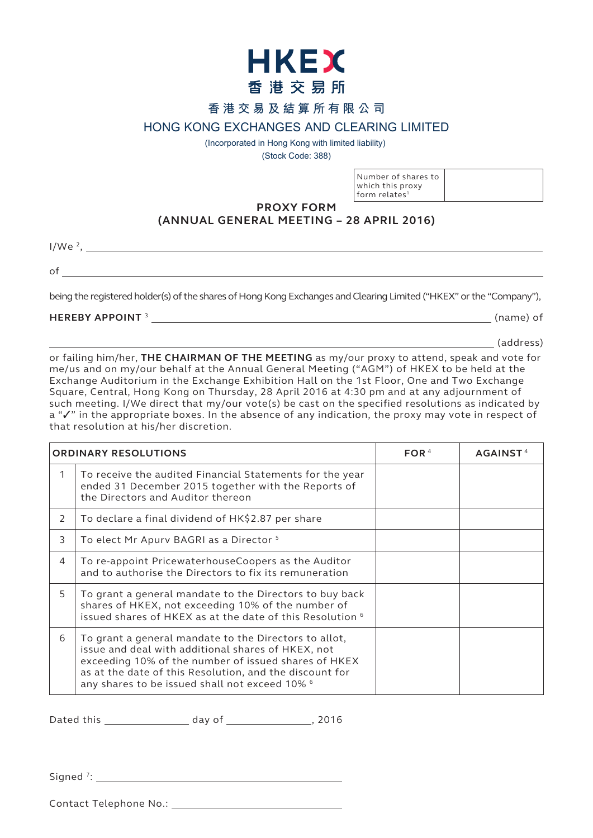

## **香港交易及結算所有限公司**

## **HONG KONG EXCHANGES AND CLEARING LIMITED**

(Incorporated in Hong Kong with limited liability)

(Stock Code: 388)

Number of shares to which this proxy form relates $1$ 

**PROXY FORM**

# **(ANNUAL GENERAL MEETING – 28 APRIL 2016)**

I/We 2,

of

being the registered holder(s) of the shares of Hong Kong Exchanges and Clearing Limited ("HKEX" or the "Company"),

### **HEREBY APPOINT** <sup>3</sup> (name) of

(address)

or failing him/her, **THE CHAIRMAN OF THE MEETING** as my/our proxy to attend, speak and vote for me/us and on my/our behalf at the Annual General Meeting ("AGM") of HKEX to be held at the Exchange Auditorium in the Exchange Exhibition Hall on the 1st Floor, One and Two Exchange Square, Central, Hong Kong on Thursday, 28 April 2016 at 4:30 pm and at any adjournment of such meeting. I/We direct that my/our vote(s) be cast on the specified resolutions as indicated by a " $\checkmark$ " in the appropriate boxes. In the absence of any indication, the proxy may vote in respect of that resolution at his/her discretion.

| <b>ORDINARY RESOLUTIONS</b> |                                                                                                                                                                                                                                                                                  | FOR $4$ | <b>AGAINST</b> |
|-----------------------------|----------------------------------------------------------------------------------------------------------------------------------------------------------------------------------------------------------------------------------------------------------------------------------|---------|----------------|
| 1                           | To receive the audited Financial Statements for the year<br>ended 31 December 2015 together with the Reports of<br>the Directors and Auditor thereon                                                                                                                             |         |                |
| 2                           | To declare a final dividend of HK\$2.87 per share                                                                                                                                                                                                                                |         |                |
| 3                           | To elect Mr Apurv BAGRI as a Director <sup>5</sup>                                                                                                                                                                                                                               |         |                |
| $\overline{4}$              | To re-appoint PricewaterhouseCoopers as the Auditor<br>and to authorise the Directors to fix its remuneration                                                                                                                                                                    |         |                |
| 5                           | To grant a general mandate to the Directors to buy back<br>shares of HKEX, not exceeding 10% of the number of<br>issued shares of HKEX as at the date of this Resolution 6                                                                                                       |         |                |
| 6                           | To grant a general mandate to the Directors to allot,<br>issue and deal with additional shares of HKEX, not<br>exceeding 10% of the number of issued shares of HKEX<br>as at the date of this Resolution, and the discount for<br>any shares to be issued shall not exceed 10% 6 |         |                |

Dated this day of this day of the set of  $\sim$ , 2016

Signed<sup>7</sup>:

Contact Telephone No.: